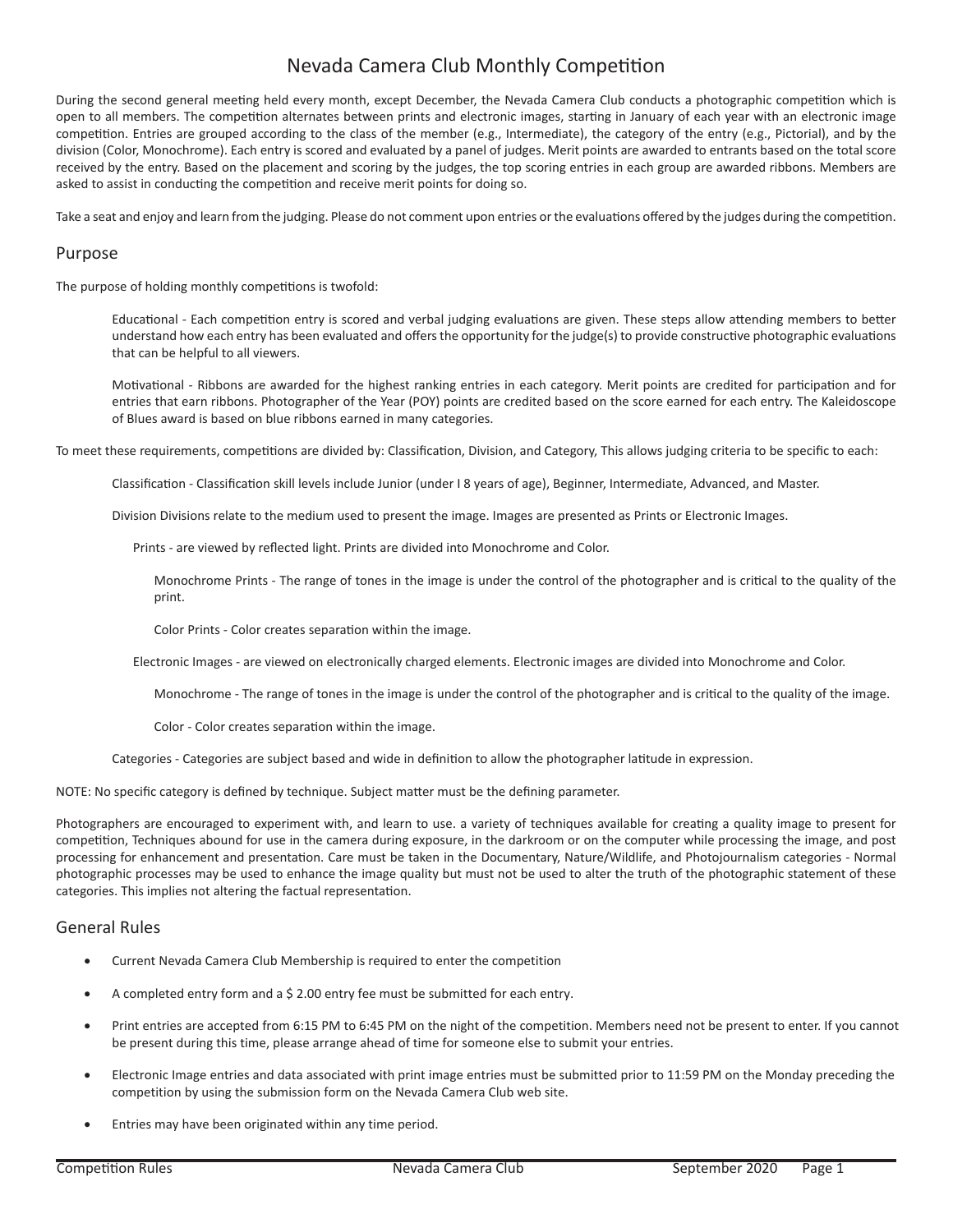## Nevada Camera Club Monthly Competition

During the second general meeting held every month, except December, the Nevada Camera Club conducts a photographic competition which is open to all members. The competition alternates between prints and electronic images, starting in January of each year with an electronic image competition. Entries are grouped according to the class of the member (e.g., Intermediate), the category of the entry (e.g., Pictorial), and by the division (Color, Monochrome). Each entry is scored and evaluated by a panel of judges. Merit points are awarded to entrants based on the total score received by the entry. Based on the placement and scoring by the judges, the top scoring entries in each group are awarded ribbons. Members are asked to assist in conducting the competition and receive merit points for doing so.

Take a seat and enjoy and learn from the judging. Please do not comment upon entries or the evaluations offered by the judges during the competition.

### Purpose

The purpose of holding monthly competitions is twofold:

Educational - Each competition entry is scored and verbal judging evaluations are given. These steps allow attending members to better understand how each entry has been evaluated and offers the opportunity for the judge(s) to provide constructive photographic evaluations that can be helpful to all viewers.

Motivational - Ribbons are awarded for the highest ranking entries in each category. Merit points are credited for participation and for entries that earn ribbons. Photographer of the Year (POY) points are credited based on the score earned for each entry. The Kaleidoscope of Blues award is based on blue ribbons earned in many categories.

To meet these requirements, competitions are divided by: Classification, Division, and Category, This allows judging criteria to be specific to each:

Classification - Classification skill levels include Junior (under I 8 years of age), Beginner, Intermediate, Advanced, and Master.

Division Divisions relate to the medium used to present the image. Images are presented as Prints or Electronic Images.

Prints - are viewed by reflected light. Prints are divided into Monochrome and Color.

Monochrome Prints - The range of tones in the image is under the control of the photographer and is critical to the quality of the print.

Color Prints - Color creates separation within the image.

Electronic Images - are viewed on electronically charged elements. Electronic images are divided into Monochrome and Color.

Monochrome - The range of tones in the image is under the control of the photographer and is critical to the quality of the image.

Color - Color creates separation within the image.

Categories - Categories are subject based and wide in definition to allow the photographer latitude in expression.

NOTE: No specific category is defined by technique. Subject matter must be the defining parameter.

Photographers are encouraged to experiment with, and learn to use. a variety of techniques available for creating a quality image to present for competition, Techniques abound for use in the camera during exposure, in the darkroom or on the computer while processing the image, and post processing for enhancement and presentation. Care must be taken in the Documentary, Nature/Wildlife, and Photojournalism categories - Normal photographic processes may be used to enhance the image quality but must not be used to alter the truth of the photographic statement of these categories. This implies not altering the factual representation.

### General Rules

- Current Nevada Camera Club Membership is required to enter the competition
- A completed entry form and a \$ 2.00 entry fee must be submitted for each entry.
- Print entries are accepted from 6:15 PM to 6:45 PM on the night of the competition. Members need not be present to enter. If you cannot be present during this time, please arrange ahead of time for someone else to submit your entries.
- Electronic Image entries and data associated with print image entries must be submitted prior to 11:59 PM on the Monday preceding the competition by using the submission form on the Nevada Camera Club web site.
- Entries may have been originated within any time period.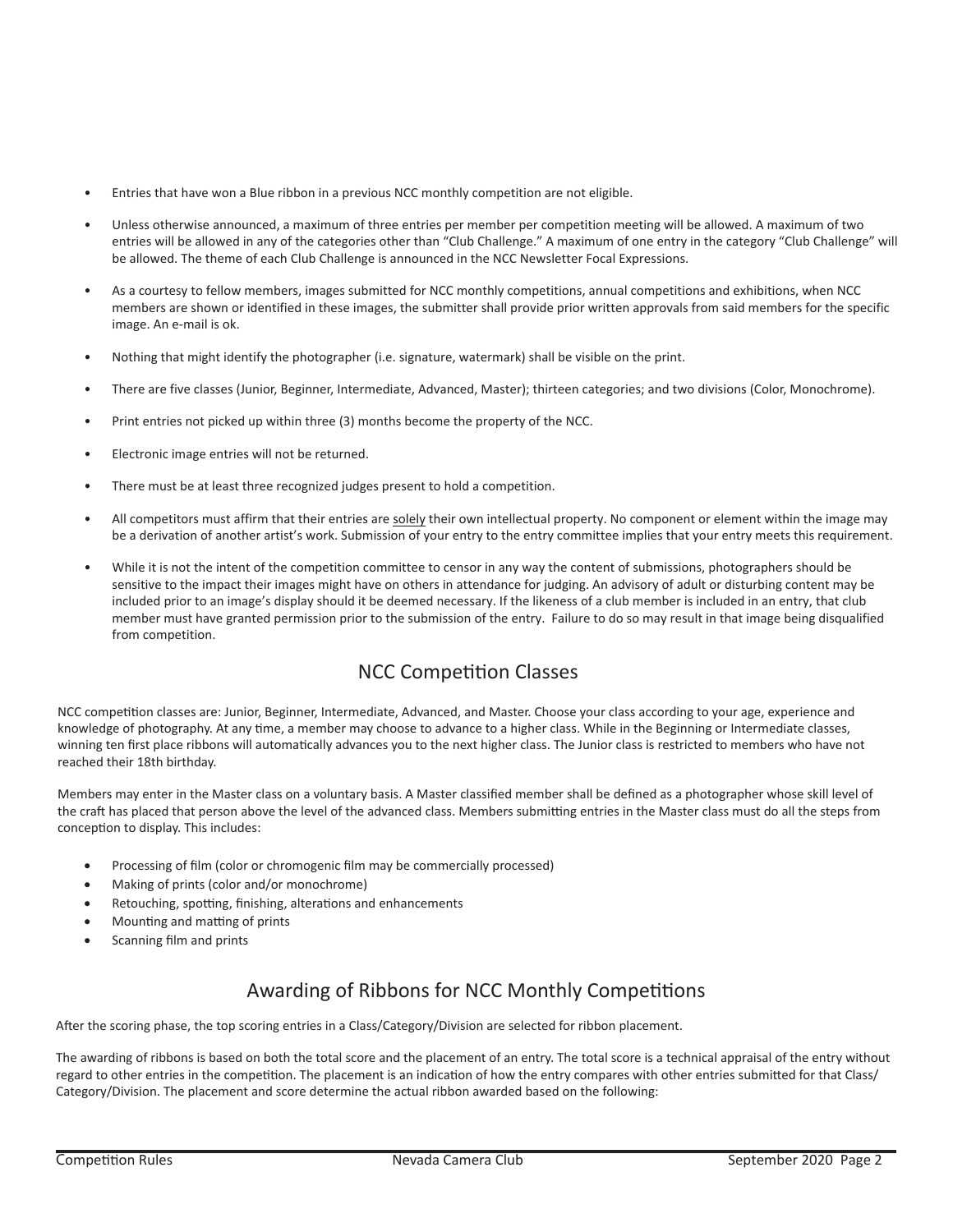- Entries that have won a Blue ribbon in a previous NCC monthly competition are not eligible.
- Unless otherwise announced, a maximum of three entries per member per competition meeting will be allowed. A maximum of two entries will be allowed in any of the categories other than "Club Challenge." A maximum of one entry in the category "Club Challenge" will be allowed. The theme of each Club Challenge is announced in the NCC Newsletter Focal Expressions.
- As a courtesy to fellow members, images submitted for NCC monthly competitions, annual competitions and exhibitions, when NCC members are shown or identified in these images, the submitter shall provide prior written approvals from said members for the specific image. An e-mail is ok.
- Nothing that might identify the photographer (i.e. signature, watermark) shall be visible on the print.
- There are five classes (Junior, Beginner, Intermediate, Advanced, Master); thirteen categories; and two divisions (Color, Monochrome).
- Print entries not picked up within three (3) months become the property of the NCC.
- Electronic image entries will not be returned.
- There must be at least three recognized judges present to hold a competition.
- All competitors must affirm that their entries are solely their own intellectual property. No component or element within the image may be a derivation of another artist's work. Submission of your entry to the entry committee implies that your entry meets this requirement.
- While it is not the intent of the competition committee to censor in any way the content of submissions, photographers should be sensitive to the impact their images might have on others in attendance for judging. An advisory of adult or disturbing content may be included prior to an image's display should it be deemed necessary. If the likeness of a club member is included in an entry, that club member must have granted permission prior to the submission of the entry. Failure to do so may result in that image being disqualified from competition.

# NCC Competition Classes

NCC competition classes are: Junior, Beginner, Intermediate, Advanced, and Master. Choose your class according to your age, experience and knowledge of photography. At any time, a member may choose to advance to a higher class. While in the Beginning or Intermediate classes, winning ten first place ribbons will automatically advances you to the next higher class. The Junior class is restricted to members who have not reached their 18th birthday.

Members may enter in the Master class on a voluntary basis. A Master classified member shall be defined as a photographer whose skill level of the craft has placed that person above the level of the advanced class. Members submitting entries in the Master class must do all the steps from conception to display. This includes:

- Processing of film (color or chromogenic film may be commercially processed)
- Making of prints (color and/or monochrome)
- Retouching, spotting, finishing, alterations and enhancements
- Mounting and matting of prints
- Scanning film and prints

# Awarding of Ribbons for NCC Monthly Competitions

After the scoring phase, the top scoring entries in a Class/Category/Division are selected for ribbon placement.

The awarding of ribbons is based on both the total score and the placement of an entry. The total score is a technical appraisal of the entry without regard to other entries in the competition. The placement is an indication of how the entry compares with other entries submitted for that Class/ Category/Division. The placement and score determine the actual ribbon awarded based on the following: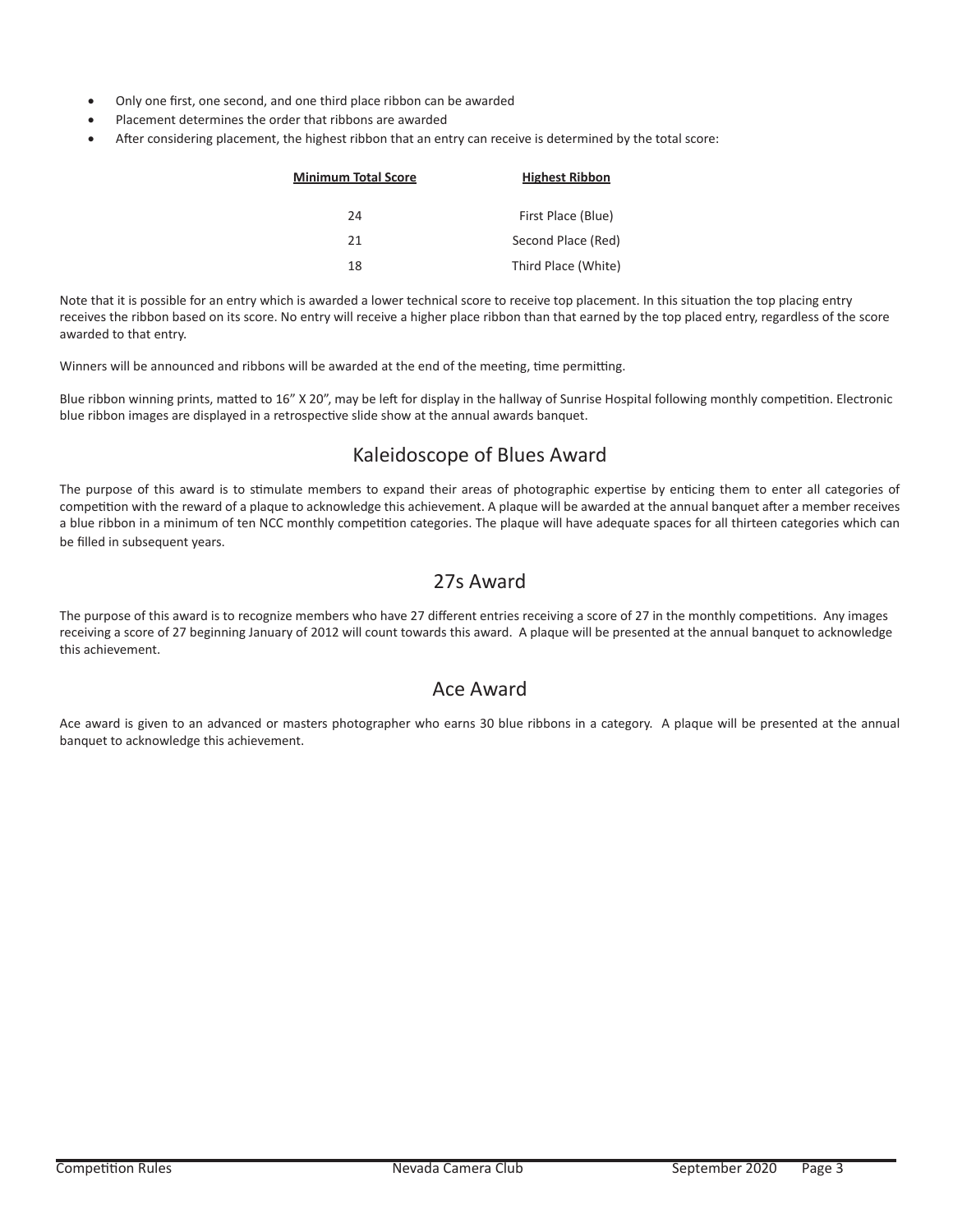- Only one first, one second, and one third place ribbon can be awarded
- Placement determines the order that ribbons are awarded
- After considering placement, the highest ribbon that an entry can receive is determined by the total score:

| Minimum Total Score | <b>Highest Ribbon</b> |
|---------------------|-----------------------|
| 24                  | First Place (Blue)    |
| 21                  | Second Place (Red)    |
| 18                  | Third Place (White)   |

Note that it is possible for an entry which is awarded a lower technical score to receive top placement. In this situation the top placing entry receives the ribbon based on its score. No entry will receive a higher place ribbon than that earned by the top placed entry, regardless of the score awarded to that entry.

Winners will be announced and ribbons will be awarded at the end of the meeting, time permitting.

Blue ribbon winning prints, matted to 16" X 20", may be left for display in the hallway of Sunrise Hospital following monthly competition. Electronic blue ribbon images are displayed in a retrospective slide show at the annual awards banquet.

## Kaleidoscope of Blues Award

The purpose of this award is to stimulate members to expand their areas of photographic expertise by enticing them to enter all categories of competition with the reward of a plaque to acknowledge this achievement. A plaque will be awarded at the annual banquet after a member receives a blue ribbon in a minimum of ten NCC monthly competition categories. The plaque will have adequate spaces for all thirteen categories which can be filled in subsequent years.

# 27s Award

The purpose of this award is to recognize members who have 27 different entries receiving a score of 27 in the monthly competitions. Any images receiving a score of 27 beginning January of 2012 will count towards this award. A plaque will be presented at the annual banquet to acknowledge this achievement.

## Ace Award

Ace award is given to an advanced or masters photographer who earns 30 blue ribbons in a category. A plaque will be presented at the annual banquet to acknowledge this achievement.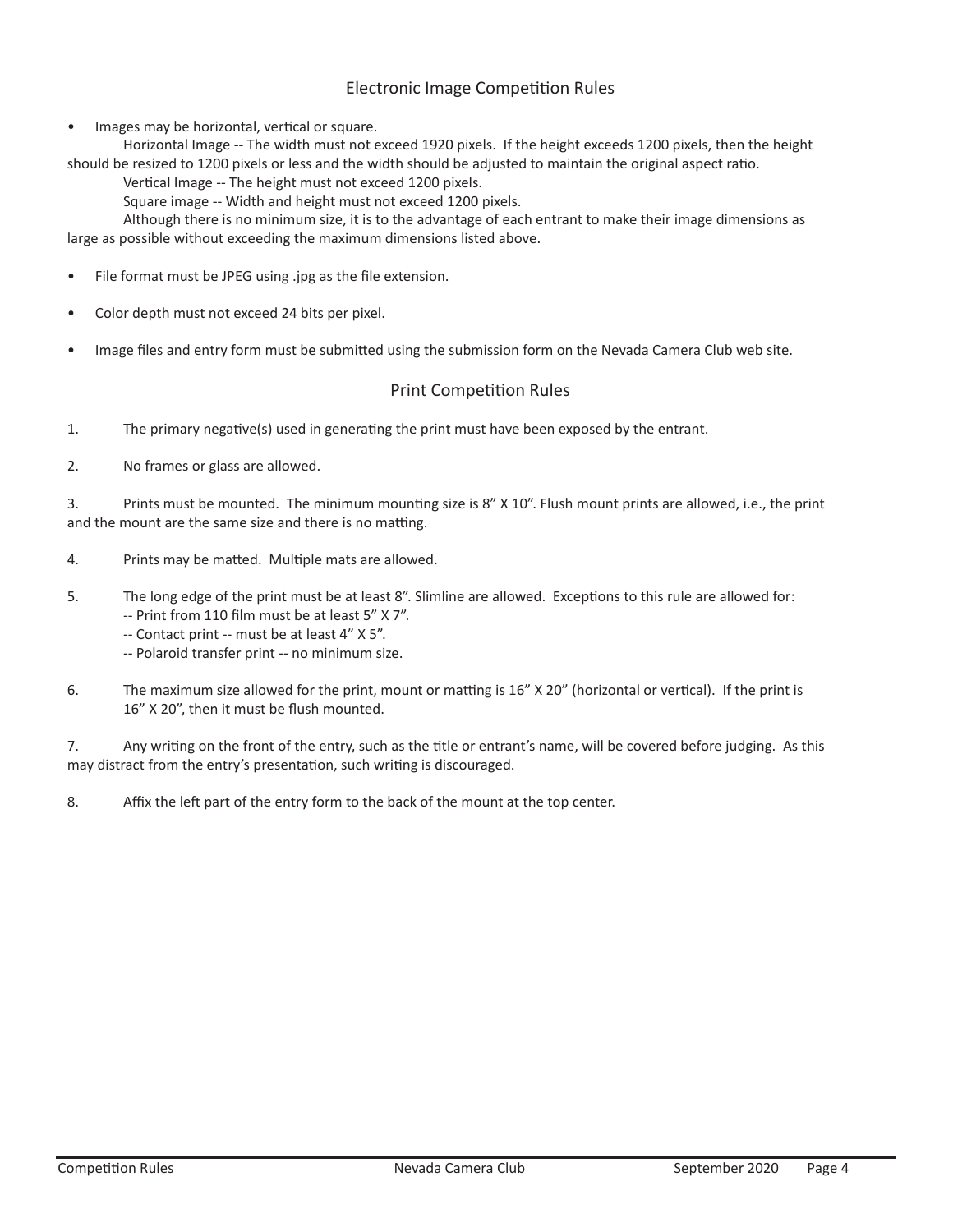## Electronic Image Competition Rules

Images may be horizontal, vertical or square.

Horizontal Image -- The width must not exceed 1920 pixels. If the height exceeds 1200 pixels, then the height should be resized to 1200 pixels or less and the width should be adjusted to maintain the original aspect ratio.

Vertical Image -- The height must not exceed 1200 pixels.

Square image -- Width and height must not exceed 1200 pixels.

Although there is no minimum size, it is to the advantage of each entrant to make their image dimensions as large as possible without exceeding the maximum dimensions listed above.

- File format must be JPEG using .jpg as the file extension.
- Color depth must not exceed 24 bits per pixel.
- Image files and entry form must be submitted using the submission form on the Nevada Camera Club web site.

### Print Competition Rules

1. The primary negative(s) used in generating the print must have been exposed by the entrant.

2. No frames or glass are allowed.

3. Prints must be mounted. The minimum mounting size is 8" X 10". Flush mount prints are allowed, i.e., the print and the mount are the same size and there is no matting.

- 4. Prints may be matted. Multiple mats are allowed.
- 5. The long edge of the print must be at least 8". Slimline are allowed. Exceptions to this rule are allowed for:

-- Print from 110 film must be at least 5" X 7".

- -- Contact print -- must be at least 4" X 5".
- -- Polaroid transfer print -- no minimum size.
- 6. The maximum size allowed for the print, mount or matting is 16" X 20" (horizontal or vertical). If the print is 16" X 20", then it must be flush mounted.

7. Any writing on the front of the entry, such as the title or entrant's name, will be covered before judging. As this may distract from the entry's presentation, such writing is discouraged.

8. Affix the left part of the entry form to the back of the mount at the top center.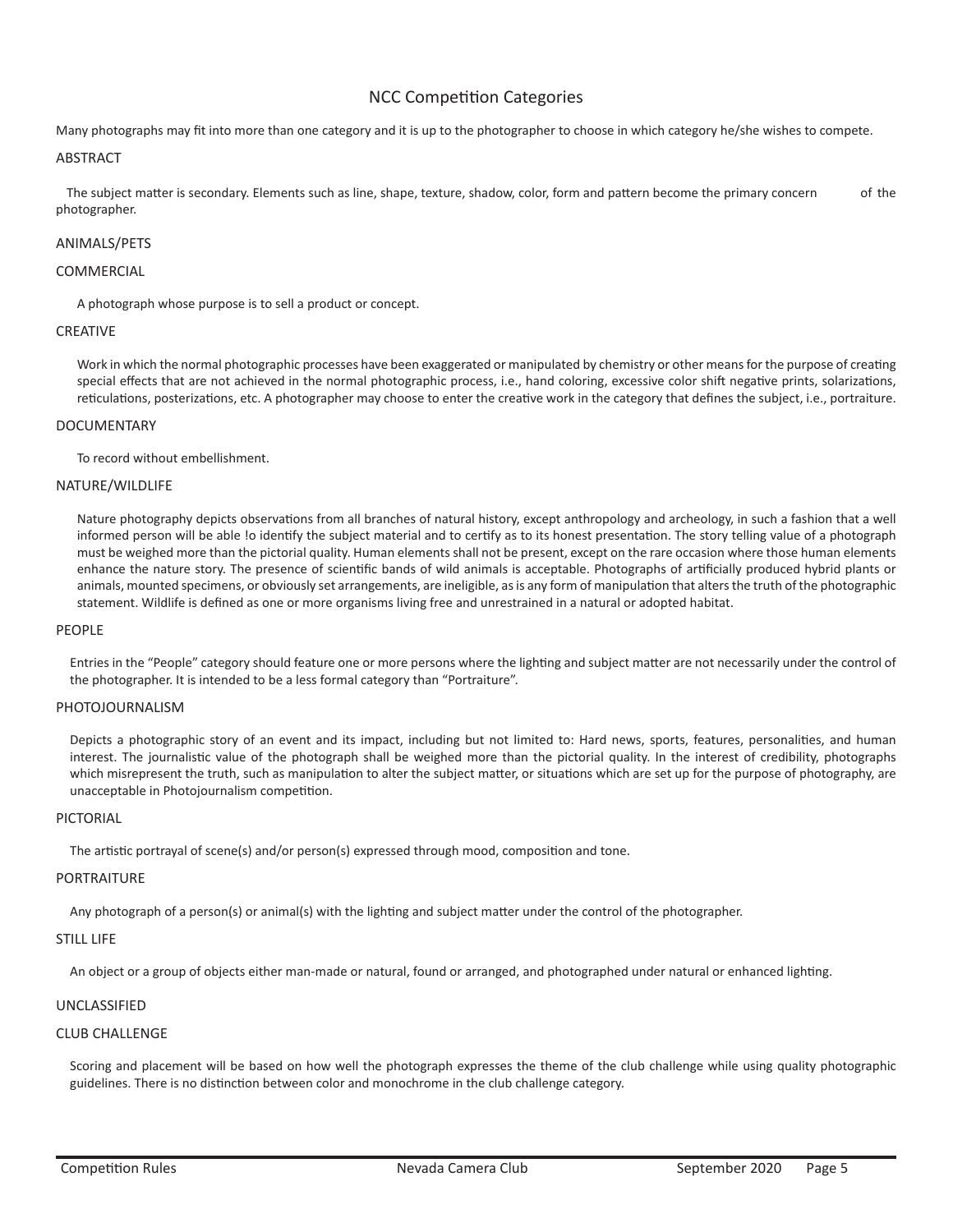## NCC Competition Categories

Many photographs may fit into more than one category and it is up to the photographer to choose in which category he/she wishes to compete.

#### ABSTRACT

The subject matter is secondary. Elements such as line, shape, texture, shadow, color, form and pattern become the primary concern of the photographer.

#### ANIMALS/PETS

#### COMMERCIAL

A photograph whose purpose is to sell a product or concept.

#### CREATIVE

Work in which the normal photographic processes have been exaggerated or manipulated by chemistry or other means for the purpose of creating special effects that are not achieved in the normal photographic process, i.e., hand coloring, excessive color shift negative prints, solarizations, reticulations, posterizations, etc. A photographer may choose to enter the creative work in the category that defines the subject, i.e., portraiture.

#### DOCUMENTARY

To record without embellishment.

#### NATURE/WILDLIFE

Nature photography depicts observations from all branches of natural history, except anthropology and archeology, in such a fashion that a well informed person will be able !o identify the subject material and to certify as to its honest presentation. The story telling value of a photograph must be weighed more than the pictorial quality. Human elements shall not be present, except on the rare occasion where those human elements enhance the nature story. The presence of scientific bands of wild animals is acceptable. Photographs of artificially produced hybrid plants or animals, mounted specimens, or obviously set arrangements, are ineligible, as is any form of manipulation that alters the truth of the photographic statement. Wildlife is defined as one or more organisms living free and unrestrained in a natural or adopted habitat.

#### PEOPLE

Entries in the "People" category should feature one or more persons where the lighting and subject matter are not necessarily under the control of the photographer. It is intended to be a less formal category than "Portraiture".

#### PHOTOJOURNALISM

Depicts a photographic story of an event and its impact, including but not limited to: Hard news, sports, features, personalities, and human interest. The journalistic value of the photograph shall be weighed more than the pictorial quality. In the interest of credibility, photographs which misrepresent the truth, such as manipulation to alter the subject matter, or situations which are set up for the purpose of photography, are unacceptable in Photojournalism competition.

#### PICTORIAL

The artistic portrayal of scene(s) and/or person(s) expressed through mood, composition and tone.

#### PORTRAITURE

Any photograph of a person(s) or animal(s) with the lighting and subject matter under the control of the photographer.

#### STILL LIFF

An object or a group of objects either man-made or natural, found or arranged, and photographed under natural or enhanced lighting.

#### UNCLASSIFIED

#### CLUB CHALLENGE

Scoring and placement will be based on how well the photograph expresses the theme of the club challenge while using quality photographic guidelines. There is no distinction between color and monochrome in the club challenge category.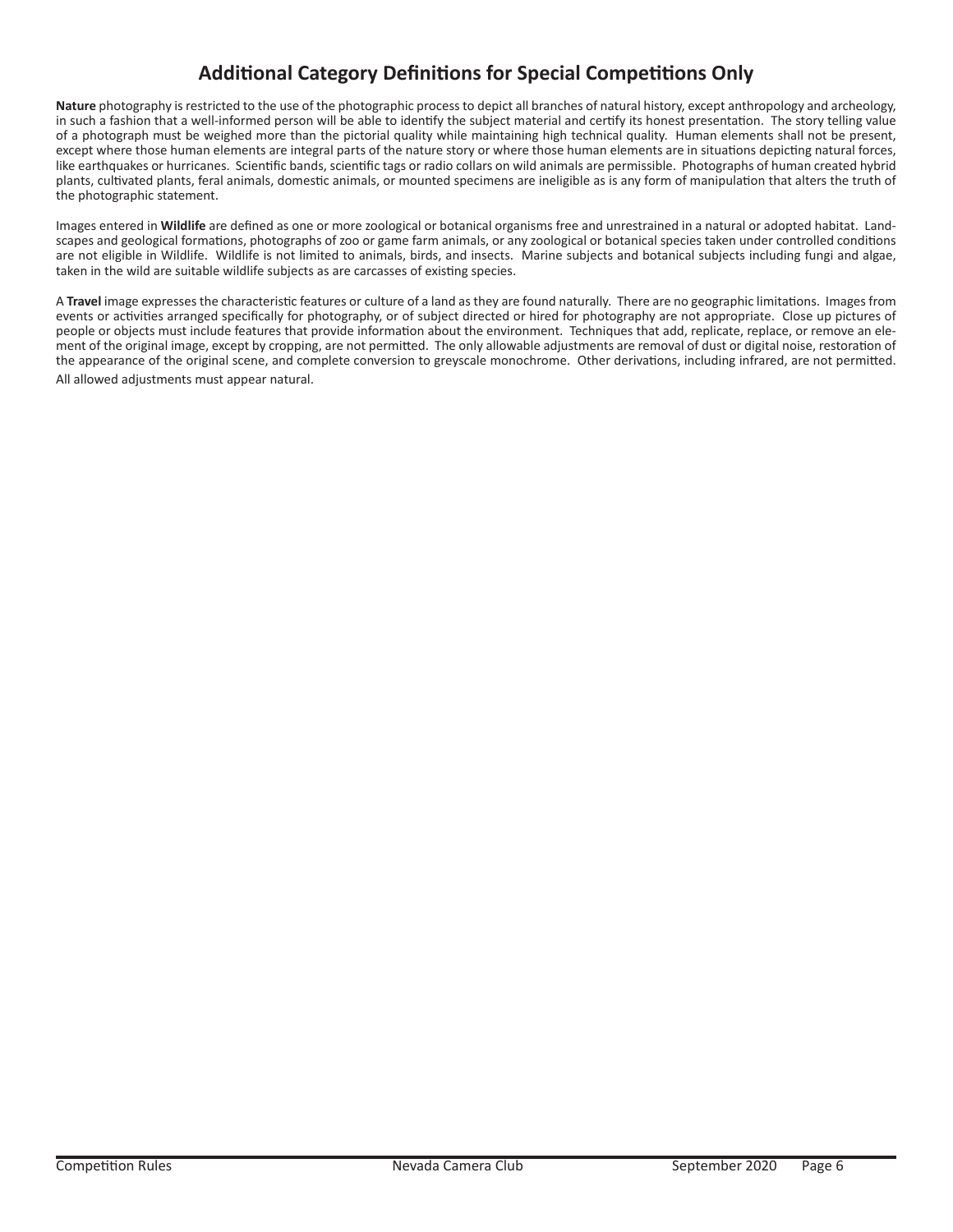## **Additional Category Definitions for Special Competitions Only**

**Nature** photography is restricted to the use of the photographic process to depict all branches of natural history, except anthropology and archeology, in such a fashion that a well-informed person will be able to identify the subject material and certify its honest presentation. The story telling value of a photograph must be weighed more than the pictorial quality while maintaining high technical quality. Human elements shall not be present, except where those human elements are integral parts of the nature story or where those human elements are in situations depicting natural forces, like earthquakes or hurricanes. Scientific bands, scientific tags or radio collars on wild animals are permissible. Photographs of human created hybrid plants, cultivated plants, feral animals, domestic animals, or mounted specimens are ineligible as is any form of manipulation that alters the truth of the photographic statement.

Images entered in **Wildlife** are defined as one or more zoological or botanical organisms free and unrestrained in a natural or adopted habitat. Landscapes and geological formations, photographs of zoo or game farm animals, or any zoological or botanical species taken under controlled conditions are not eligible in Wildlife. Wildlife is not limited to animals, birds, and insects. Marine subjects and botanical subjects including fungi and algae, taken in the wild are suitable wildlife subjects as are carcasses of existing species.

A **Travel** image expresses the characteristic features or culture of a land as they are found naturally. There are no geographic limitations. Images from events or activities arranged specifically for photography, or of subject directed or hired for photography are not appropriate. Close up pictures of people or objects must include features that provide information about the environment. Techniques that add, replicate, replace, or remove an element of the original image, except by cropping, are not permitted. The only allowable adjustments are removal of dust or digital noise, restoration of the appearance of the original scene, and complete conversion to greyscale monochrome. Other derivations, including infrared, are not permitted. All allowed adjustments must appear natural.